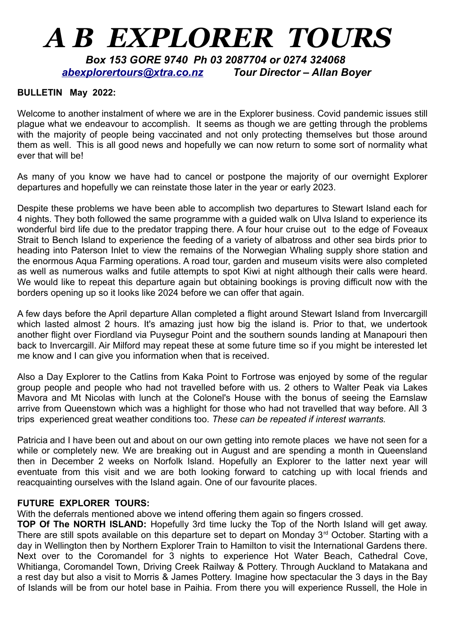## *A B EXPLORER TOURS*

 *Box 153 GORE 9740 Ph 03 2087704 or 0274 324068 [abexplorertours@xtra.co.nz](mailto:abexplorertours@xtra.co.nz) Tour Director – Allan Boyer*

## **BULLETIN May 2022:**

Welcome to another instalment of where we are in the Explorer business. Covid pandemic issues still plague what we endeavour to accomplish. It seems as though we are getting through the problems with the majority of people being vaccinated and not only protecting themselves but those around them as well. This is all good news and hopefully we can now return to some sort of normality what ever that will be!

As many of you know we have had to cancel or postpone the majority of our overnight Explorer departures and hopefully we can reinstate those later in the year or early 2023.

Despite these problems we have been able to accomplish two departures to Stewart Island each for 4 nights. They both followed the same programme with a guided walk on Ulva Island to experience its wonderful bird life due to the predator trapping there. A four hour cruise out to the edge of Foveaux Strait to Bench Island to experience the feeding of a variety of albatross and other sea birds prior to heading into Paterson Inlet to view the remains of the Norwegian Whaling supply shore station and the enormous Aqua Farming operations. A road tour, garden and museum visits were also completed as well as numerous walks and futile attempts to spot Kiwi at night although their calls were heard. We would like to repeat this departure again but obtaining bookings is proving difficult now with the borders opening up so it looks like 2024 before we can offer that again.

A few days before the April departure Allan completed a flight around Stewart Island from Invercargill which lasted almost 2 hours. It's amazing just how big the island is. Prior to that, we undertook another flight over Fiordland via Puysegur Point and the southern sounds landing at Manapouri then back to Invercargill. Air Milford may repeat these at some future time so if you might be interested let me know and I can give you information when that is received.

Also a Day Explorer to the Catlins from Kaka Point to Fortrose was enjoyed by some of the regular group people and people who had not travelled before with us. 2 others to Walter Peak via Lakes Mavora and Mt Nicolas with lunch at the Colonel's House with the bonus of seeing the Earnslaw arrive from Queenstown which was a highlight for those who had not travelled that way before. All 3 trips experienced great weather conditions too. *These can be repeated if interest warrants.*

Patricia and I have been out and about on our own getting into remote places we have not seen for a while or completely new. We are breaking out in August and are spending a month in Queensland then in December 2 weeks on Norfolk Island. Hopefully an Explorer to the latter next year will eventuate from this visit and we are both looking forward to catching up with local friends and reacquainting ourselves with the Island again. One of our favourite places.

## **FUTURE EXPLORER TOURS:**

With the deferrals mentioned above we intend offering them again so fingers crossed.

**TOP Of The NORTH ISLAND:** Hopefully 3rd time lucky the Top of the North Island will get away. There are still spots available on this departure set to depart on Monday 3<sup>rd</sup> October. Starting with a day in Wellington then by Northern Explorer Train to Hamilton to visit the International Gardens there. Next over to the Coromandel for 3 nights to experience Hot Water Beach, Cathedral Cove, Whitianga, Coromandel Town, Driving Creek Railway & Pottery. Through Auckland to Matakana and a rest day but also a visit to Morris & James Pottery. Imagine how spectacular the 3 days in the Bay of Islands will be from our hotel base in Paihia. From there you will experience Russell, the Hole in